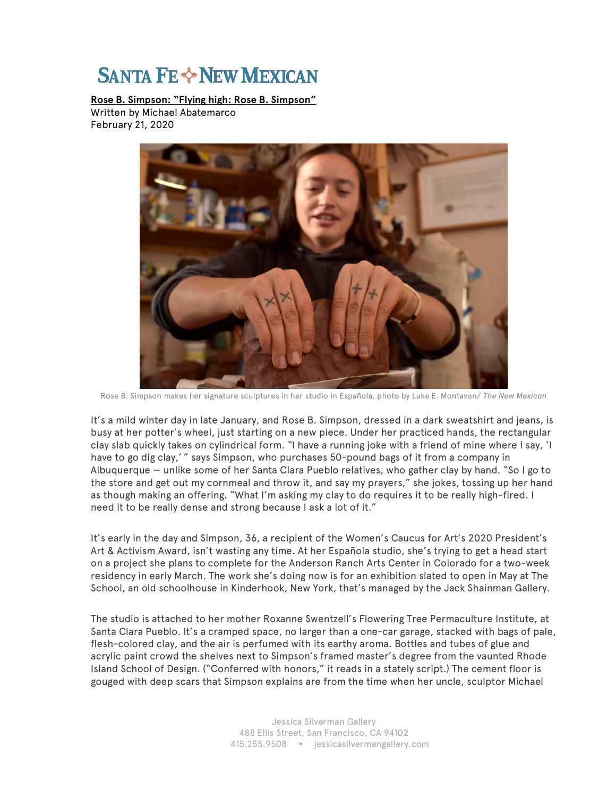## **SANTA FE & NEW MEXICAN**

**Rose B. Simpson: "Flying high: Rose B. Simpson"** Written by Michael Abatemarco February 21, 2020



Rose B. Simpson makes her signature sculptures in her studio in Española, photo by Luke E. Montavon/ *The New Mexican*

It's a mild winter day in late January, and Rose B. Simpson, dressed in a dark sweatshirt and jeans, is busy at her potter's wheel, just starting on a new piece. Under her practiced hands, the rectangular clay slab quickly takes on cylindrical form. "I have a running joke with a friend of mine where I say, 'I have to go dig clay,' " says Simpson, who purchases 50-pound bags of it from a company in Albuquerque — unlike some of her Santa Clara Pueblo relatives, who gather clay by hand. "So I go to the store and get out my cornmeal and throw it, and say my prayers," she jokes, tossing up her hand as though making an offering. "What I'm asking my clay to do requires it to be really high-fired. I need it to be really dense and strong because I ask a lot of it."

It's early in the day and Simpson, 36, a recipient of the Women's Caucus for Art's 2020 President's Art & Activism Award, isn't wasting any time. At her Española studio, she's trying to get a head start on a project she plans to complete for the Anderson Ranch Arts Center in Colorado for a two-week residency in early March. The work she's doing now is for an exhibition slated to open in May at The School, an old schoolhouse in Kinderhook, New York, that's managed by the Jack Shainman Gallery.

The studio is attached to her mother Roxanne Swentzell's Flowering Tree Permaculture Institute, at Santa Clara Pueblo. It's a cramped space, no larger than a one-car garage, stacked with bags of pale, flesh-colored clay, and the air is perfumed with its earthy aroma. Bottles and tubes of glue and acrylic paint crowd the shelves next to Simpson's framed master's degree from the vaunted Rhode Island School of Design. ("Conferred with honors," it reads in a stately script.) The cement floor is gouged with deep scars that Simpson explains are from the time when her uncle, sculptor Michael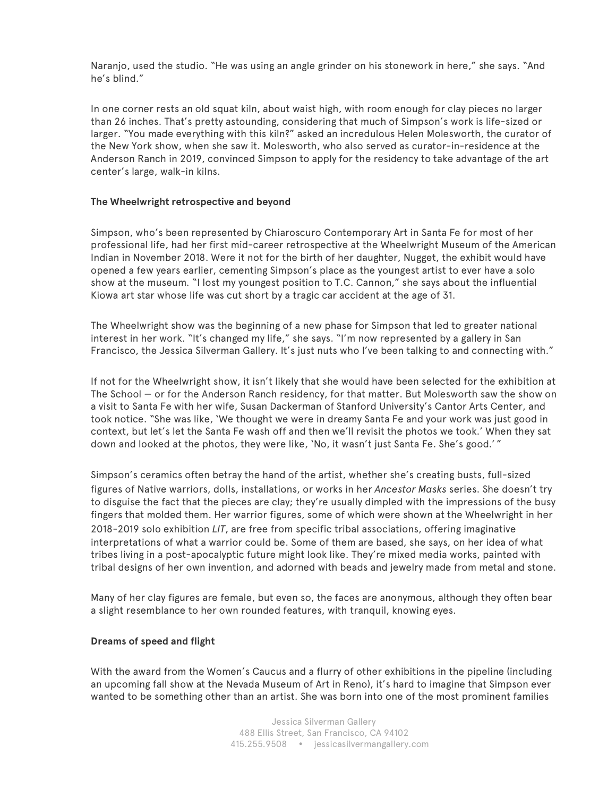Naranjo, used the studio. "He was using an angle grinder on his stonework in here," she says. "And he's blind."

In one corner rests an old squat kiln, about waist high, with room enough for clay pieces no larger than 26 inches. That's pretty astounding, considering that much of Simpson's work is life-sized or larger. "You made everything with this kiln?" asked an incredulous Helen Molesworth, the curator of the New York show, when she saw it. Molesworth, who also served as curator-in-residence at the Anderson Ranch in 2019, convinced Simpson to apply for the residency to take advantage of the art center's large, walk-in kilns.

## **The Wheelwright retrospective and beyond**

Simpson, who's been represented by Chiaroscuro Contemporary Art in Santa Fe for most of her professional life, had her first mid-career retrospective at the Wheelwright Museum of the American Indian in November 2018. Were it not for the birth of her daughter, Nugget, the exhibit would have opened a few years earlier, cementing Simpson's place as the youngest artist to ever have a solo show at the museum. "I lost my youngest position to T.C. Cannon," she says about the influential Kiowa art star whose life was cut short by a tragic car accident at the age of 31.

The Wheelwright show was the beginning of a new phase for Simpson that led to greater national interest in her work. "It's changed my life," she says. "I'm now represented by a gallery in San Francisco, the Jessica Silverman Gallery. It's just nuts who I've been talking to and connecting with."

If not for the Wheelwright show, it isn't likely that she would have been selected for the exhibition at The School — or for the Anderson Ranch residency, for that matter. But Molesworth saw the show on a visit to Santa Fe with her wife, Susan Dackerman of Stanford University's Cantor Arts Center, and took notice. "She was like, 'We thought we were in dreamy Santa Fe and your work was just good in context, but let's let the Santa Fe wash off and then we'll revisit the photos we took.' When they sat down and looked at the photos, they were like, 'No, it wasn't just Santa Fe. She's good.' "

Simpson's ceramics often betray the hand of the artist, whether she's creating busts, full-sized figures of Native warriors, dolls, installations, or works in her *Ancestor Masks* series. She doesn't try to disguise the fact that the pieces are clay; they're usually dimpled with the impressions of the busy fingers that molded them. Her warrior figures, some of which were shown at the Wheelwright in her 2018-2019 solo exhibition *LIT*, are free from specific tribal associations, offering imaginative interpretations of what a warrior could be. Some of them are based, she says, on her idea of what tribes living in a post-apocalyptic future might look like. They're mixed media works, painted with tribal designs of her own invention, and adorned with beads and jewelry made from metal and stone.

Many of her clay figures are female, but even so, the faces are anonymous, although they often bear a slight resemblance to her own rounded features, with tranquil, knowing eyes.

## **Dreams of speed and flight**

With the award from the Women's Caucus and a flurry of other exhibitions in the pipeline (including an upcoming fall show at the Nevada Museum of Art in Reno), it's hard to imagine that Simpson ever wanted to be something other than an artist. She was born into one of the most prominent families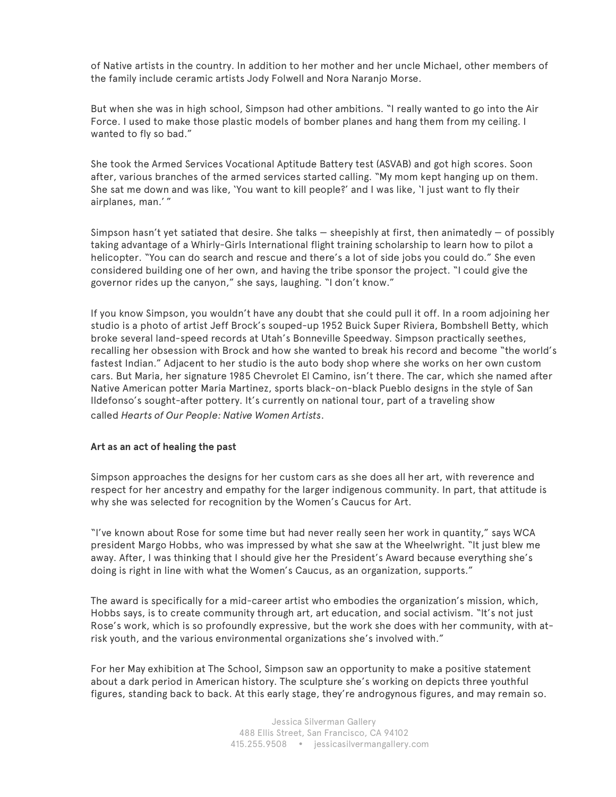of Native artists in the country. In addition to her mother and her uncle Michael, other members of the family include ceramic artists Jody Folwell and Nora Naranjo Morse.

But when she was in high school, Simpson had other ambitions. "I really wanted to go into the Air Force. I used to make those plastic models of bomber planes and hang them from my ceiling. I wanted to fly so bad."

She took the Armed Services Vocational Aptitude Battery test (ASVAB) and got high scores. Soon after, various branches of the armed services started calling. "My mom kept hanging up on them. She sat me down and was like, 'You want to kill people?' and I was like, 'I just want to fly their airplanes, man.' "

Simpson hasn't yet satiated that desire. She talks — sheepishly at first, then animatedly — of possibly taking advantage of a Whirly-Girls International flight training scholarship to learn how to pilot a helicopter. "You can do search and rescue and there's a lot of side jobs you could do." She even considered building one of her own, and having the tribe sponsor the project. "I could give the governor rides up the canyon," she says, laughing. "I don't know."

If you know Simpson, you wouldn't have any doubt that she could pull it off. In a room adjoining her studio is a photo of artist Jeff Brock's souped-up 1952 Buick Super Riviera, Bombshell Betty, which broke several land-speed records at Utah's Bonneville Speedway. Simpson practically seethes, recalling her obsession with Brock and how she wanted to break his record and become "the world's fastest Indian." Adjacent to her studio is the auto body shop where she works on her own custom cars. But Maria, her signature 1985 Chevrolet El Camino, isn't there. The car, which she named after Native American potter Maria Martinez, sports black-on-black Pueblo designs in the style of San Ildefonso's sought-after pottery. It's currently on national tour, part of a traveling show called *Hearts of Our People: Native Women Artists*.

## **Art as an act of healing the past**

Simpson approaches the designs for her custom cars as she does all her art, with reverence and respect for her ancestry and empathy for the larger indigenous community. In part, that attitude is why she was selected for recognition by the Women's Caucus for Art.

"I've known about Rose for some time but had never really seen her work in quantity," says WCA president Margo Hobbs, who was impressed by what she saw at the Wheelwright. "It just blew me away. After, I was thinking that I should give her the President's Award because everything she's doing is right in line with what the Women's Caucus, as an organization, supports."

The award is specifically for a mid-career artist who embodies the organization's mission, which, Hobbs says, is to create community through art, art education, and social activism. "It's not just Rose's work, which is so profoundly expressive, but the work she does with her community, with atrisk youth, and the various environmental organizations she's involved with."

For her May exhibition at The School, Simpson saw an opportunity to make a positive statement about a dark period in American history. The sculpture she's working on depicts three youthful figures, standing back to back. At this early stage, they're androgynous figures, and may remain so.